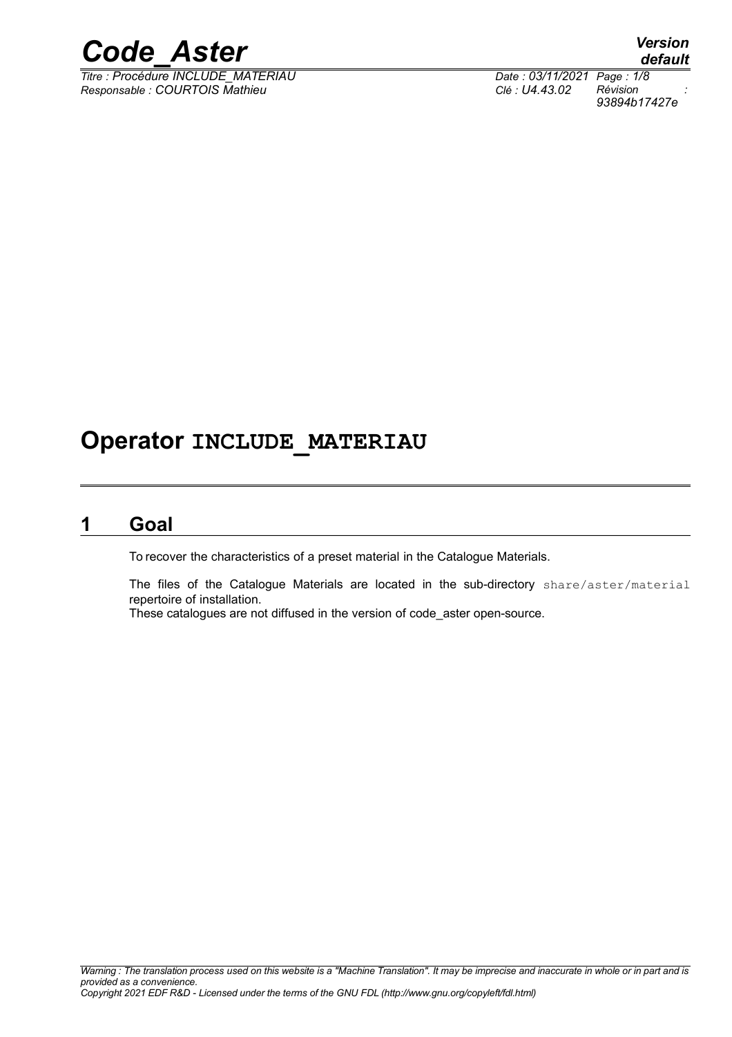

*Titre : Procédure INCLUDE\_MATERIAU Date : 03/11/2021 Page : 1/8 Responsable : COURTOIS Mathieu Clé : U4.43.02 Révision :*

*default 93894b17427e*

# **Operator INCLUDE\_MATERIAU**

### **1 Goal**

<span id="page-0-0"></span>To recover the characteristics of a preset material in the Catalogue Materials.

The files of the Catalogue Materials are located in the sub-directory share/aster/material repertoire of installation.

These catalogues are not diffused in the version of code\_aster open-source.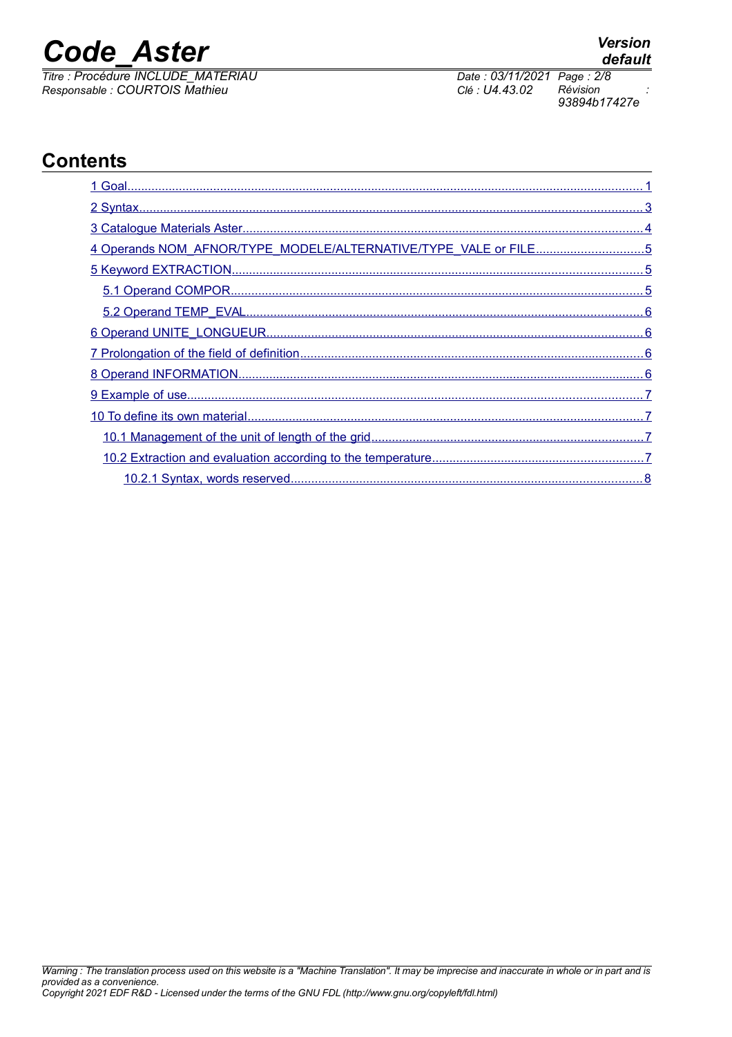*Titre : Procédure INCLUDE\_MATERIAU Date : 03/11/2021 Page : 2/8 Responsable : COURTOIS Mathieu Clé : U4.43.02 Révision :*

*93894b17427e*

# **Contents**

| 4 Operands NOM_AFNOR/TYPE_MODELE/ALTERNATIVE/TYPE_VALE or FILE5 |
|-----------------------------------------------------------------|
|                                                                 |
|                                                                 |
|                                                                 |
|                                                                 |
|                                                                 |
|                                                                 |
|                                                                 |
|                                                                 |
|                                                                 |
|                                                                 |
|                                                                 |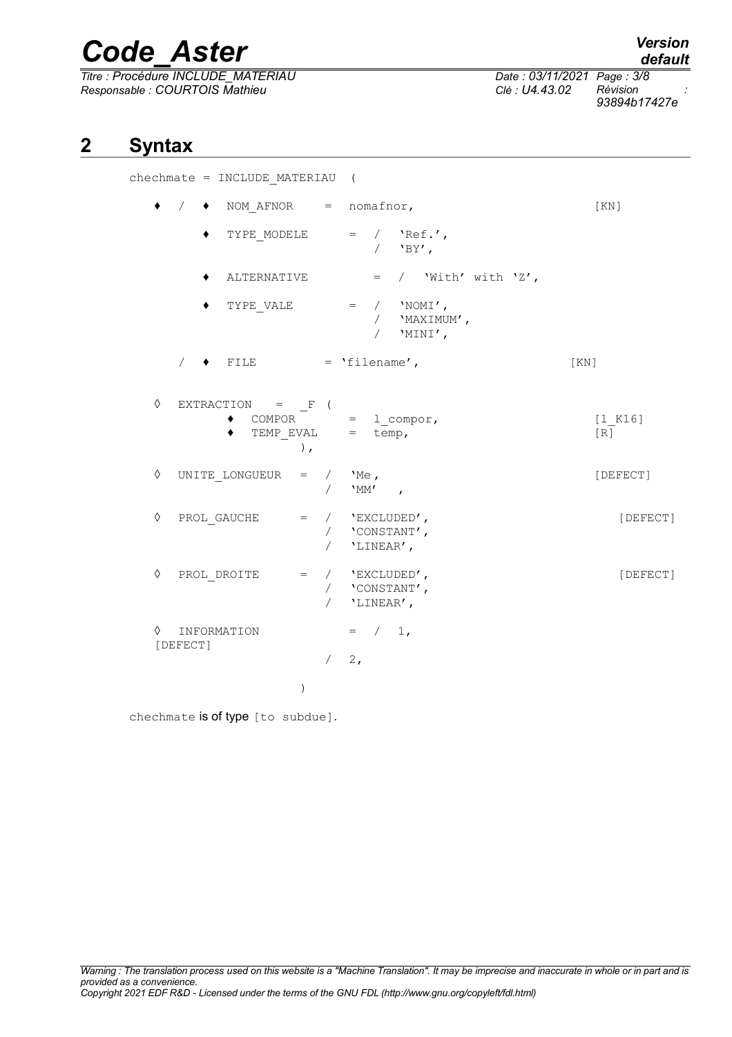*Titre : Procédure INCLUDE\_MATERIAU Date : 03/11/2021 Page : 3/8 Responsable : COURTOIS Mathieu Clé : U4.43.02 Révision :*

*93894b17427e*

# **2 Syntax**

<span id="page-2-0"></span>chechmate = INCLUDE\_MATERIAU (

|            |                         |                           |             | NOM $A$ FNOR = nomafnor,                                                            | [KN]           |
|------------|-------------------------|---------------------------|-------------|-------------------------------------------------------------------------------------|----------------|
|            |                         |                           |             | TYPE MODELE $=$ / $\text{Nef.}$<br>/ $'$ BY',                                       |                |
|            |                         | ALTERNATIVE               |             | $=$ / 'With' with 'Z',                                                              |                |
|            |                         |                           |             | TYPE VALE $=$ / $'NOMI'$ ,<br>/ 'MAXIMUM',<br>/ $'$ MINI',                          |                |
|            |                         | $\blacklozenge$ FILE      |             | $= 'filename',$                                                                     | KN             |
| $\Diamond$ |                         | EXTRACTION = $F($         | $\lambda$ , | COMPOR = $l_{comp}$ ,<br>TEMP_EVAL = temp,                                          | [1 K16]<br>[R] |
| $\Diamond$ |                         | UNITE LONGUEUR = $/$ 'Me, |             | / $^{\prime}$ $^{\prime}$ MM' ,                                                     | [DEFECT]       |
| $\Diamond$ |                         |                           |             | $PROL_GAUCHE = / 'EXCLUDED',$<br>/ $\,$ <code>'CONSTANT'</code> ,<br>/ $'$ LINEAR', | [DEFECT]       |
| ♦          | PROL DROITE             |                           |             | $=$ / $'$ EXCLUDED',<br>/ $'$ $'$ CONSTANT',<br>/ 'LINEAR',                         | [DEFECT]       |
| ♦          | INFORMATION<br>[DEFECT] |                           |             | $=$ / 1,                                                                            |                |
|            |                         |                           |             | $/2$ ,                                                                              |                |
|            |                         |                           | $\lambda$   |                                                                                     |                |

chechmate is of type [to subdue].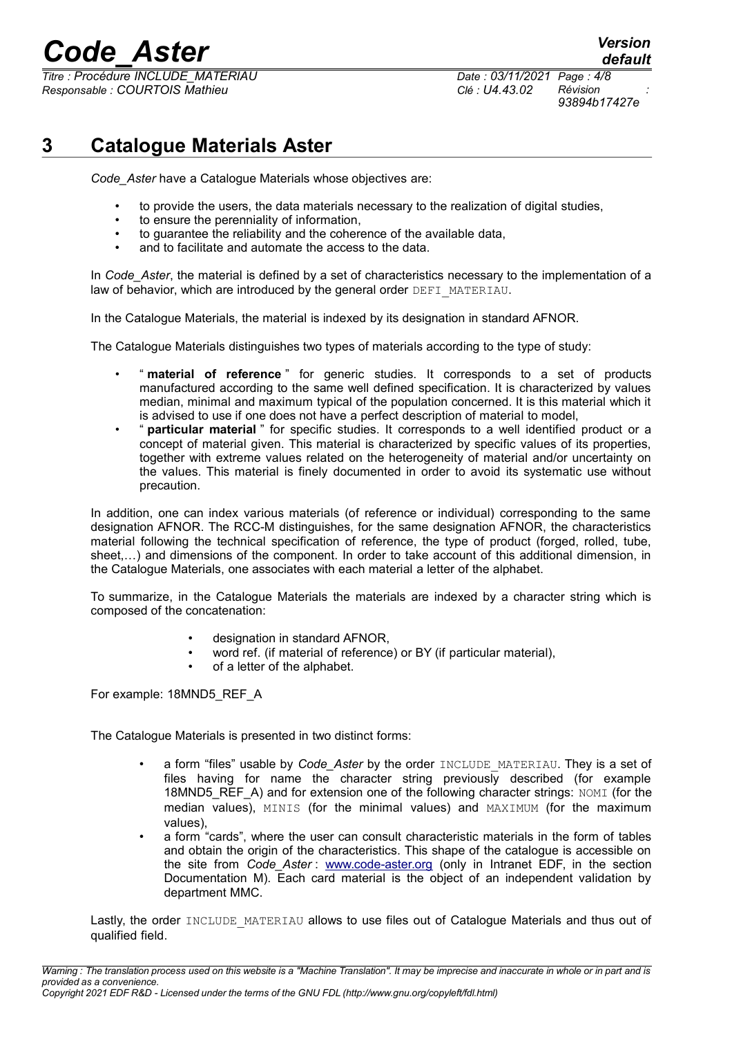*Titre : Procédure INCLUDE\_MATERIAU Date : 03/11/2021 Page : 4/8 Responsable : COURTOIS Mathieu Clé : U4.43.02 Révision :*

*default 93894b17427e*

# **3 Catalogue Materials Aster**

<span id="page-3-0"></span>*Code\_Aster* have a Catalogue Materials whose objectives are:

- to provide the users, the data materials necessary to the realization of digital studies,
- to ensure the perenniality of information,
- to guarantee the reliability and the coherence of the available data,
- and to facilitate and automate the access to the data.

In *Code* Aster, the material is defined by a set of characteristics necessary to the implementation of a law of behavior, which are introduced by the general order DEFI\_MATERIAU.

In the Catalogue Materials, the material is indexed by its designation in standard AFNOR.

The Catalogue Materials distinguishes two types of materials according to the type of study:

- " **material of reference** " for generic studies. It corresponds to a set of products manufactured according to the same well defined specification. It is characterized by values median, minimal and maximum typical of the population concerned. It is this material which it is advised to use if one does not have a perfect description of material to model,
- " **particular material** " for specific studies. It corresponds to a well identified product or a concept of material given. This material is characterized by specific values of its properties, together with extreme values related on the heterogeneity of material and/or uncertainty on the values. This material is finely documented in order to avoid its systematic use without precaution.

In addition, one can index various materials (of reference or individual) corresponding to the same designation AFNOR. The RCC-M distinguishes, for the same designation AFNOR, the characteristics material following the technical specification of reference, the type of product (forged, rolled, tube, sheet,…) and dimensions of the component. In order to take account of this additional dimension, in the Catalogue Materials, one associates with each material a letter of the alphabet.

To summarize, in the Catalogue Materials the materials are indexed by a character string which is composed of the concatenation:

- designation in standard AFNOR,
- word ref. (if material of reference) or BY (if particular material),
- of a letter of the alphabet.

For example: 18MND5\_REF\_A

The Catalogue Materials is presented in two distinct forms:

- a form "files" usable by *Code\_Aster* by the order INCLUDE\_MATERIAU. They is a set of files having for name the character string previously described (for example 18MND5\_REF\_A) and for extension one of the following character strings: NOMI (for the median values), MINIS (for the minimal values) and MAXIMUM (for the maximum values),
- a form "cards", where the user can consult characteristic materials in the form of tables and obtain the origin of the characteristics. This shape of the catalogue is accessible on the site from *Code\_Aster* : [www.code-aster.org](http://www.code-aster.org/) (only in Intranet EDF, in the section Documentation M). Each card material is the object of an independent validation by department MMC.

Lastly, the order INCLUDE MATERIAU allows to use files out of Catalogue Materials and thus out of qualified field.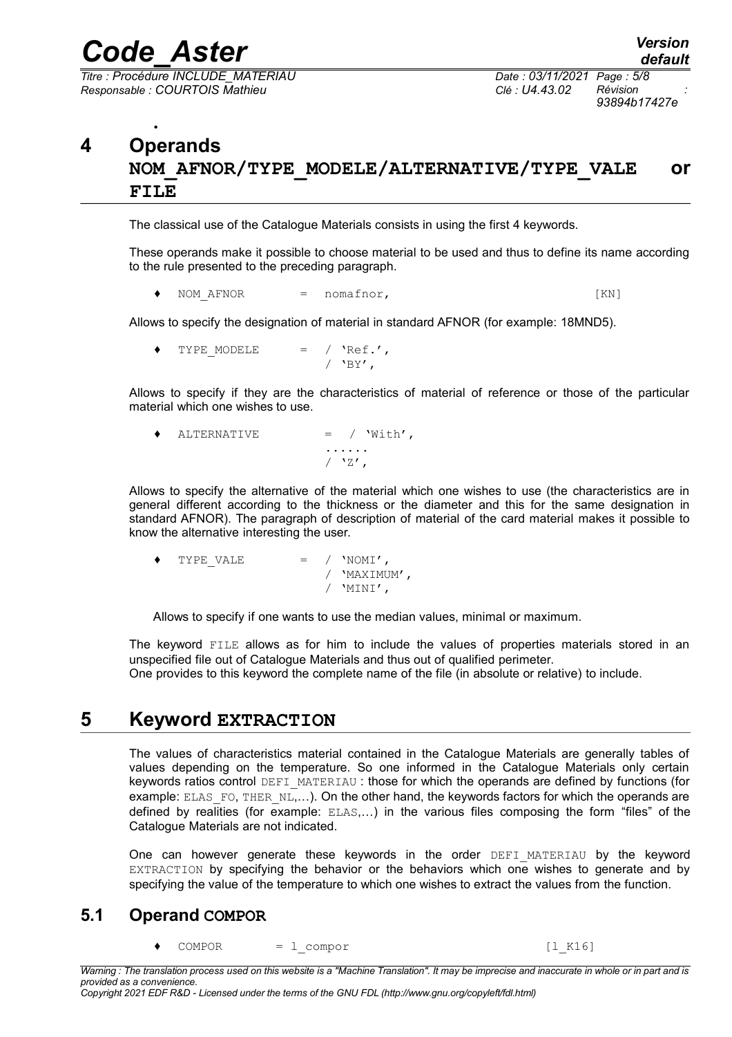*Code\_Aster Version Titre : Procédure INCLUDE\_MATERIAU Date : 03/11/2021 Page : 5/8*

*Responsable : COURTOIS Mathieu Clé : U4.43.02 Révision :*

*93894b17427e*

#### <span id="page-4-2"></span>• **4 Operands NOM\_AFNOR/TYPE\_MODELE/ALTERNATIVE/TYPE\_VALE or FILE**

The classical use of the Catalogue Materials consists in using the first 4 keywords.

These operands make it possible to choose material to be used and thus to define its name according to the rule presented to the preceding paragraph.

NOM AFNOR = nomafnor, [KN]

Allows to specify the designation of material in standard AFNOR (for example: 18MND5).

TYPE MODELE  $=$  / 'Ref.',  $/$  'BY',

Allows to specify if they are the characteristics of material of reference or those of the particular material which one wishes to use.

| $\bullet$ | ALTERNATIVE | $=$ / $With'$ ,                                     |
|-----------|-------------|-----------------------------------------------------|
|           |             | .                                                   |
|           |             | $/$ $^{\prime}$ $^{\prime}$ $^{\prime}$ $^{\prime}$ |

Allows to specify the alternative of the material which one wishes to use (the characteristics are in general different according to the thickness or the diameter and this for the same designation in standard AFNOR). The paragraph of description of material of the card material makes it possible to know the alternative interesting the user.

| ٠ | TYPE VALE | $=$ / $'NOMI'$ , |
|---|-----------|------------------|
|   |           | / 'MAXIMUM',     |
|   |           | / $'MINI'$ ,     |

Allows to specify if one wants to use the median values, minimal or maximum.

The keyword FILE allows as for him to include the values of properties materials stored in an unspecified file out of Catalogue Materials and thus out of qualified perimeter.

<span id="page-4-1"></span>One provides to this keyword the complete name of the file (in absolute or relative) to include.

#### **5 Keyword EXTRACTION**

The values of characteristics material contained in the Catalogue Materials are generally tables of values depending on the temperature. So one informed in the Catalogue Materials only certain keywords ratios control DEFI\_MATERIAU : those for which the operands are defined by functions (for example: ELAS\_FO, THER\_NL,...). On the other hand, the keywords factors for which the operands are defined by realities (for example: ELAS,…) in the various files composing the form "files" of the Catalogue Materials are not indicated.

One can however generate these keywords in the order DEFI MATERIAU by the keyword EXTRACTION by specifying the behavior or the behaviors which one wishes to generate and by specifying the value of the temperature to which one wishes to extract the values from the function.

#### <span id="page-4-0"></span>**5.1 Operand COMPOR**

COMPOR = 1 compor [l\_K16]

*Warning : The translation process used on this website is a "Machine Translation". It may be imprecise and inaccurate in whole or in part and is provided as a convenience.*

*Copyright 2021 EDF R&D - Licensed under the terms of the GNU FDL (http://www.gnu.org/copyleft/fdl.html)*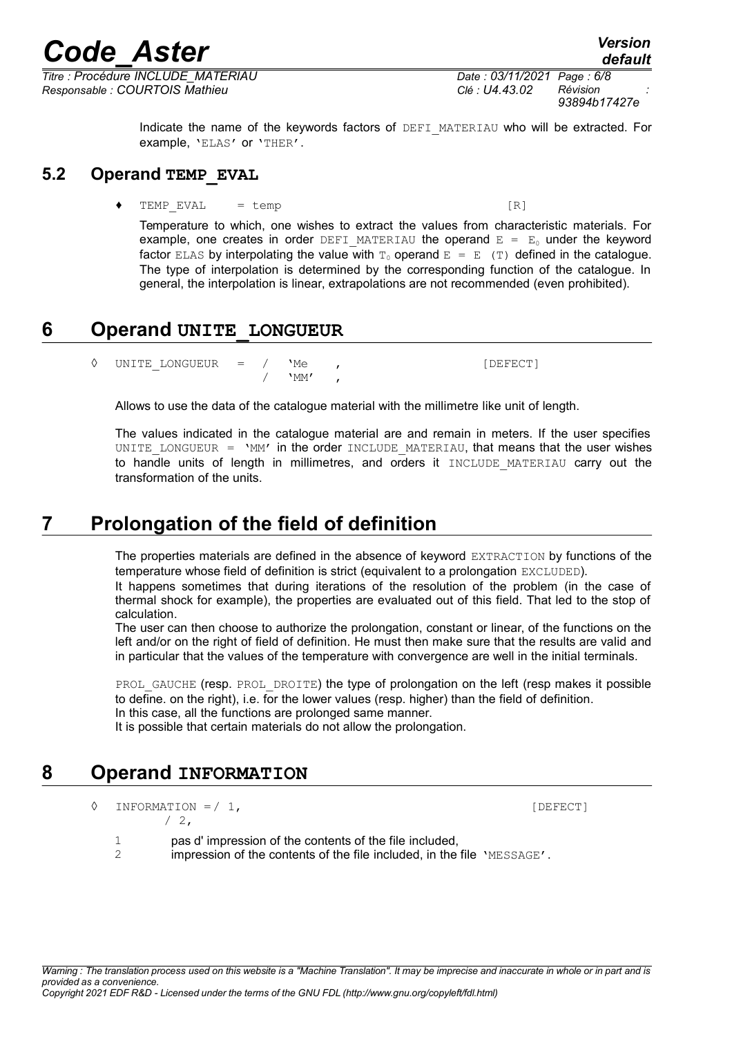*Titre : Procédure INCLUDE\_MATERIAU Date : 03/11/2021 Page : 6/8 Responsable : COURTOIS Mathieu Clé : U4.43.02 Révision :*

Indicate the name of the keywords factors of DEFI\_MATERIAU who will be extracted. For example, 'ELAS' or 'THER'.

#### **5.2 Operand TEMP\_EVAL**

<span id="page-5-3"></span> $TEMP$   $EVAL$  = temp  $[R]$ 

Temperature to which, one wishes to extract the values from characteristic materials. For example, one creates in order DEFI\_MATERIAU the operand  $E = E_0$  under the keyword factor ELAS by interpolating the value with  $T_0$  operand  $E = E$  (T) defined in the catalogue. The type of interpolation is determined by the corresponding function of the catalogue. In general, the interpolation is linear, extrapolations are not recommended (even prohibited).

### **6 Operand UNITE\_LONGUEUR**

<span id="page-5-2"></span>◊ UNITE\_LONGUEUR = / 'Me , [DEFECT]  $'$ MM $'$ 

Allows to use the data of the catalogue material with the millimetre like unit of length.

The values indicated in the catalogue material are and remain in meters. If the user specifies UNITE LONGUEUR =  $\text{VM}$ ' in the order INCLUDE MATERIAU, that means that the user wishes to handle units of length in millimetres, and orders it INCLUDE MATERIAU carry out the transformation of the units.

# **7 Prolongation of the field of definition**

<span id="page-5-1"></span>The properties materials are defined in the absence of keyword EXTRACTION by functions of the temperature whose field of definition is strict (equivalent to a prolongation EXCLUDED).

It happens sometimes that during iterations of the resolution of the problem (in the case of thermal shock for example), the properties are evaluated out of this field. That led to the stop of calculation.

The user can then choose to authorize the prolongation, constant or linear, of the functions on the left and/or on the right of field of definition. He must then make sure that the results are valid and in particular that the values of the temperature with convergence are well in the initial terminals.

PROL GAUCHE (resp. PROL DROITE) the type of prolongation on the left (resp makes it possible to define. on the right), i.e. for the lower values (resp. higher) than the field of definition. In this case, all the functions are prolonged same manner.

It is possible that certain materials do not allow the prolongation.

### **8 Operand INFORMATION**

<span id="page-5-0"></span>◊ INFORMATION =/ 1, [DEFECT]  $/2$ ,

1 pas d' impression of the contents of the file included,

2 impression of the contents of the file included, in the file 'MESSAGE'.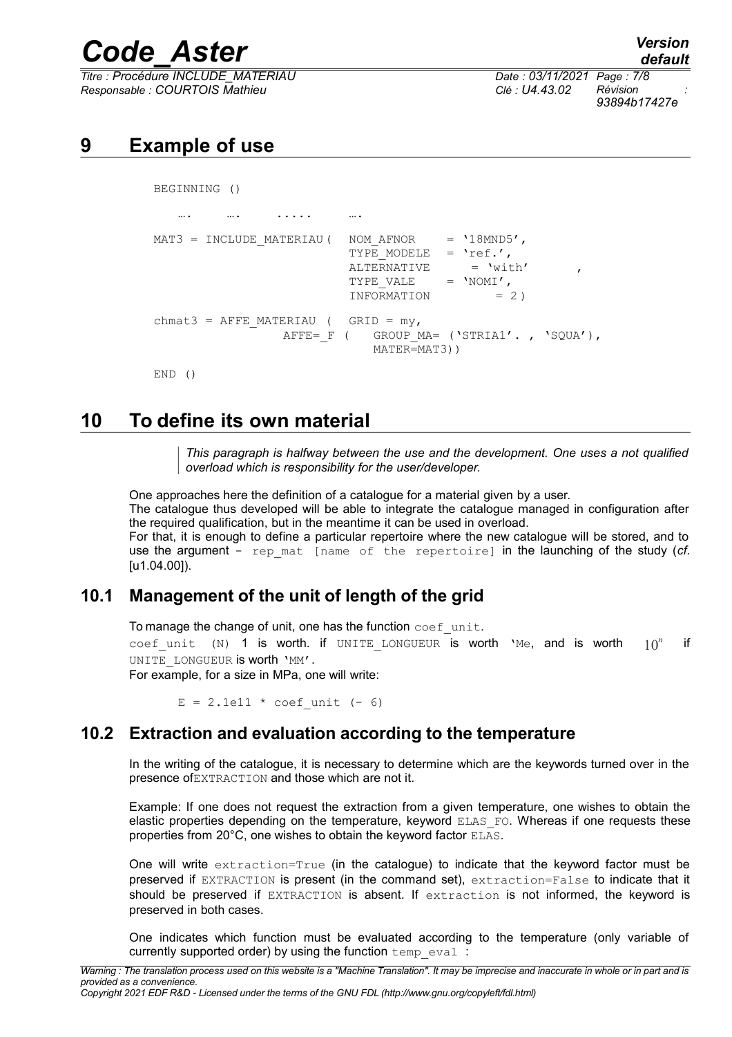*Titre : Procédure INCLUDE\_MATERIAU Date : 03/11/2021 Page : 7/8 Responsable : COURTOIS Mathieu Clé : U4.43.02 Révision :*

*93894b17427e*

# <span id="page-6-3"></span>**9 Example of use**

BEGINNING ()

```
…. …. …. . . . . . ….
MAT3 = INCLUDE MATERIAU ( NOM AFNOR = '18MND5',
                          TYPE MODELE = 'ref.',
                          ALTERNATIVE = 'with'<br>TYPE VALE = 'NOMI',
                          TYPE VALE
                          INFORMATION = 2 )
chmat3 = AFFE_MATERIAU ( GRID = my,
                 AFFE= F ( GROUP MA= ('STRIA1'., 'SOUA'),
                             MATER=MAT3))
```
<span id="page-6-2"></span>END ()

# **10 To define its own material**

*This paragraph is halfway between the use and the development. One uses a not qualified overload which is responsibility for the user/developer.*

One approaches here the definition of a catalogue for a material given by a user.

The catalogue thus developed will be able to integrate the catalogue managed in configuration after the required qualification, but in the meantime it can be used in overload.

For that, it is enough to define a particular repertoire where the new catalogue will be stored, and to use the argument - rep mat [name of the repertoire] in the launching of the study (*cf.* [u1.04.00]).

### **10.1 Management of the unit of length of the grid**

<span id="page-6-1"></span>To manage the change of unit, one has the function  $\text{coeff}$  unit.

coef unit (N) 1 is worth. if UNITE LONGUEUR is worth 'Me, and is worth  $10^n$  if UNITE LONGUEUR is worth 'MM'.

For example, for a size in MPa, one will write:

 $E = 2.1e11 * coefunit (- 6)$ 

#### **10.2 Extraction and evaluation according to the temperature**

<span id="page-6-0"></span>In the writing of the catalogue, it is necessary to determine which are the keywords turned over in the presence ofEXTRACTION and those which are not it.

Example: If one does not request the extraction from a given temperature, one wishes to obtain the elastic properties depending on the temperature, keyword ELAS\_FO. Whereas if one requests these properties from 20°C, one wishes to obtain the keyword factor ELAS.

One will write extraction=True (in the catalogue) to indicate that the keyword factor must be preserved if EXTRACTION is present (in the command set), extraction=False to indicate that it should be preserved if EXTRACTION is absent. If extraction is not informed, the keyword is preserved in both cases.

One indicates which function must be evaluated according to the temperature (only variable of currently supported order) by using the function temp eval :